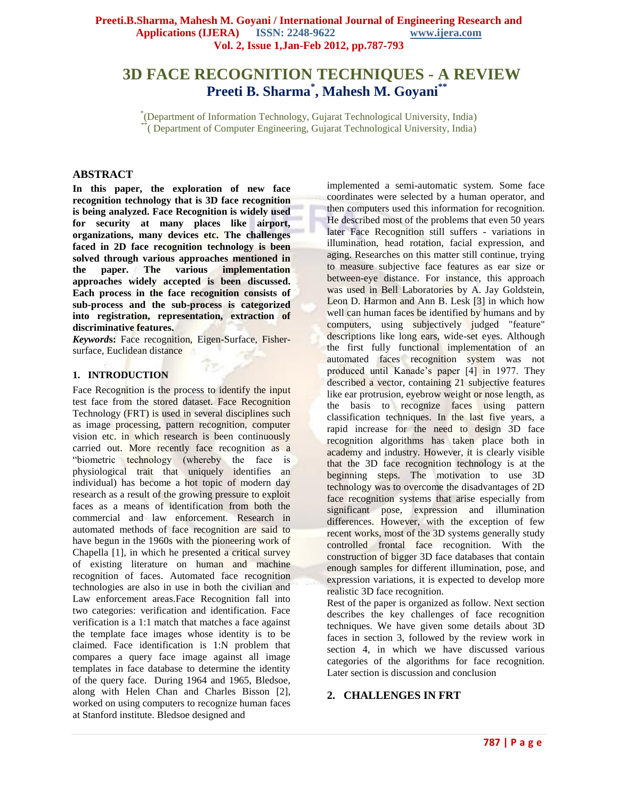# **3D FACE RECOGNITION TECHNIQUES - A REVIEW Preeti B. Sharma\* , Mahesh M. Goyani\*\***

\* (Department of Information Technology, Gujarat Technological University, India) \*\*( Department of Computer Engineering, Gujarat Technological University, India)

#### **ABSTRACT**

**In this paper, the exploration of new face recognition technology that is 3D face recognition is being analyzed. Face Recognition is widely used for security at many places like airport, organizations, many devices etc. The challenges faced in 2D face recognition technology is been solved through various approaches mentioned in the paper. The various implementation approaches widely accepted is been discussed. Each process in the face recognition consists of sub-process and the sub-process is categorized into registration, representation, extraction of discriminative features.**

*Keyword***s:** Face recognition, Eigen-Surface, Fishersurface, Euclidean distance

#### **1. INTRODUCTION**

Face Recognition is the process to identify the input test face from the stored dataset. Face Recognition Technology (FRT) is used in several disciplines such as image processing, pattern recognition, computer vision etc. in which research is been continuously carried out. More recently face recognition as a "biometric technology (whereby the face is physiological trait that uniquely identifies an individual) has become a hot topic of modern day research as a result of the growing pressure to exploit faces as a means of identification from both the commercial and law enforcement. Research in automated methods of face recognition are said to have begun in the 1960s with the pioneering work of Chapella [1], in which he presented a critical survey of existing literature on human and machine recognition of faces. Automated face recognition technologies are also in use in both the civilian and Law enforcement areas.Face Recognition fall into two categories: verification and identification. Face verification is a 1:1 match that matches a face against the template face images whose identity is to be claimed. Face identification is 1:N problem that compares a query face image against all image templates in face database to determine the identity of the query face. During 1964 and 1965, Bledsoe, along with Helen Chan and Charles Bisson [2], worked on using computers to recognize human faces at Stanford institute. Bledsoe designed and

implemented a semi-automatic system. Some face coordinates were selected by a human operator, and then computers used this information for recognition. He described most of the problems that even 50 years later Face Recognition still suffers - variations in illumination, head rotation, facial expression, and aging. Researches on this matter still continue, trying to measure subjective face features as ear size or between-eye distance. For instance, this approach was used in Bell Laboratories by A. Jay Goldstein, Leon D. Harmon and Ann B. Lesk [3] in which how well can human faces be identified by humans and by computers, using subjectively judged "feature" descriptions like long ears, wide-set eyes. Although the first fully functional implementation of an automated faces recognition system was not produced until Kanade"s paper [4] in 1977. They described a vector, containing 21 subjective features like ear protrusion, eyebrow weight or nose length, as the basis to recognize faces using pattern classification techniques. In the last five years, a rapid increase for the need to design 3D face recognition algorithms has taken place both in academy and industry. However, it is clearly visible that the 3D face recognition technology is at the beginning steps. The motivation to use 3D technology was to overcome the disadvantages of 2D face recognition systems that arise especially from significant pose, expression and illumination differences. However, with the exception of few recent works, most of the 3D systems generally study controlled frontal face recognition. With the construction of bigger 3D face databases that contain enough samples for different illumination, pose, and expression variations, it is expected to develop more realistic 3D face recognition.

Rest of the paper is organized as follow. Next section describes the key challenges of face recognition techniques. We have given some details about 3D faces in section 3, followed by the review work in section 4, in which we have discussed various categories of the algorithms for face recognition. Later section is discussion and conclusion

# **2. CHALLENGES IN FRT**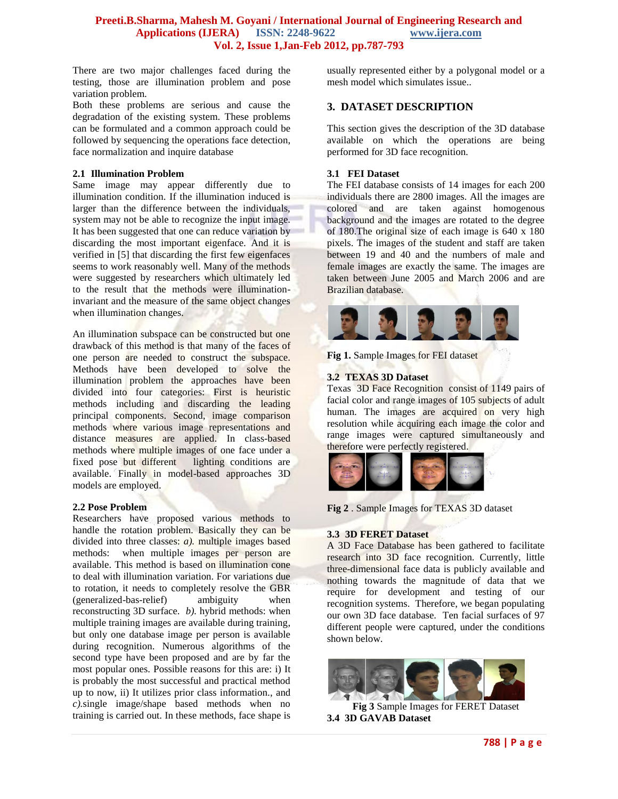There are two major challenges faced during the testing, those are illumination problem and pose variation problem.

Both these problems are serious and cause the degradation of the existing system. These problems can be formulated and a common approach could be followed by sequencing the operations face detection, face normalization and inquire database

#### **2.1 Illumination Problem**

Same image may appear differently due to illumination condition. If the illumination induced is larger than the difference between the individuals, system may not be able to recognize the input image. It has been suggested that one can reduce variation by discarding the most important eigenface. And it is verified in [5] that discarding the first few eigenfaces seems to work reasonably well. Many of the methods were suggested by researchers which ultimately led to the result that the methods were illuminationinvariant and the measure of the same object changes when illumination changes.

An illumination subspace can be constructed but one drawback of this method is that many of the faces of one person are needed to construct the subspace. Methods have been developed to solve the illumination problem the approaches have been divided into four categories: First is heuristic methods including and discarding the leading principal components. Second, image comparison methods where various image representations and distance measures are applied. In class-based methods where multiple images of one face under a fixed pose but different lighting conditions are available. Finally in model-based approaches 3D models are employed.

# **2.2 Pose Problem**

Researchers have proposed various methods to handle the rotation problem. Basically they can be divided into three classes: *a).* multiple images based methods: when multiple images per person are available. This method is based on illumination cone to deal with illumination variation. For variations due to rotation, it needs to completely resolve the GBR (generalized-bas-relief) ambiguity when reconstructing 3D surface. *b).* hybrid methods: when multiple training images are available during training, but only one database image per person is available during recognition. Numerous algorithms of the second type have been proposed and are by far the most popular ones. Possible reasons for this are: i) It is probably the most successful and practical method up to now, ii) It utilizes prior class information., and *c).*single image/shape based methods when no training is carried out. In these methods, face shape is

usually represented either by a polygonal model or a mesh model which simulates issue..

# **3. DATASET DESCRIPTION**

This section gives the description of the 3D database available on which the operations are being performed for 3D face recognition.

# **3.1 FEI Dataset**

The FEI database consists of 14 images for each 200 individuals there are 2800 images. All the images are colored and are taken against homogenous background and the images are rotated to the degree of 180.The original size of each image is 640 x 180 pixels. The images of the student and staff are taken between 19 and 40 and the numbers of male and female images are exactly the same. The images are taken between June 2005 and March 2006 and are Brazilian database.



**Fig 1.** Sample Images for FEI dataset

# **3.2 TEXAS 3D Dataset**

Texas 3D Face Recognition consist of 1149 pairs of facial color and range images of 105 subjects of adult human. The images are acquired on very high resolution while acquiring each image the color and range images were captured simultaneously and therefore were perfectly registered.



**Fig 2** . Sample Images for TEXAS 3D dataset

# **3.3 3D FERET Dataset**

A 3D Face Database has been gathered to facilitate research into 3D face recognition. Currently, little three-dimensional face data is publicly available and nothing towards the magnitude of data that we require for development and testing of our recognition systems. Therefore, we began populating our own 3D face database. Ten facial surfaces of 97 different people were captured, under the conditions shown below.



**Fig 3** Sample Images for FERET Dataset **3.4 3D GAVAB Dataset**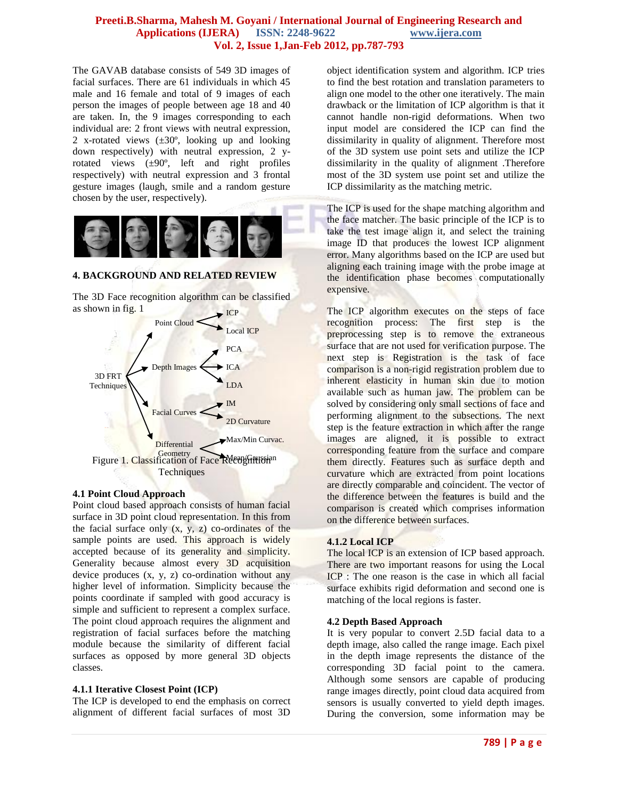The GAVAB database consists of 549 3D images of facial surfaces. There are 61 individuals in which 45 male and 16 female and total of 9 images of each person the images of people between age 18 and 40 are taken. In, the 9 images corresponding to each individual are: 2 front views with neutral expression, 2 x-rotated views  $(\pm 30^{\circ})$ , looking up and looking down respectively) with neutral expression, 2 yrotated views (±90º, left and right profiles respectively) with neutral expression and 3 frontal gesture images (laugh, smile and a random gesture chosen by the user, respectively).



# **4. BACKGROUND AND RELATED REVIEW**

The 3D Face recognition algorithm can be classified as shown in fig. 1



#### **4.1 Point Cloud Approach**

Point cloud based approach consists of human facial surface in 3D point cloud representation. In this from the facial surface only  $(x, y, z)$  co-ordinates of the sample points are used. This approach is widely accepted because of its generality and simplicity. Generality because almost every 3D acquisition device produces (x, y, z) co-ordination without any higher level of information. Simplicity because the points coordinate if sampled with good accuracy is simple and sufficient to represent a complex surface. The point cloud approach requires the alignment and registration of facial surfaces before the matching module because the similarity of different facial surfaces as opposed by more general 3D objects classes.

# **4.1.1 Iterative Closest Point (ICP)**

The ICP is developed to end the emphasis on correct alignment of different facial surfaces of most 3D

object identification system and algorithm. ICP tries to find the best rotation and translation parameters to align one model to the other one iteratively. The main drawback or the limitation of ICP algorithm is that it cannot handle non-rigid deformations. When two input model are considered the ICP can find the dissimilarity in quality of alignment. Therefore most of the 3D system use point sets and utilize the ICP dissimilarity in the quality of alignment .Therefore most of the 3D system use point set and utilize the ICP dissimilarity as the matching metric.

The ICP is used for the shape matching algorithm and the face matcher. The basic principle of the ICP is to take the test image align it, and select the training image ID that produces the lowest ICP alignment error. Many algorithms based on the ICP are used but aligning each training image with the probe image at the identification phase becomes computationally expensive.

The ICP algorithm executes on the steps of face recognition process: The first step is the preprocessing step is to remove the extraneous surface that are not used for verification purpose. The next step is Registration is the task of face comparison is a non-rigid registration problem due to inherent elasticity in human skin due to motion available such as human jaw. The problem can be solved by considering only small sections of face and performing alignment to the subsections. The next step is the feature extraction in which after the range images are aligned, it is possible to extract corresponding feature from the surface and compare them directly. Features such as surface depth and curvature which are extracted from point locations are directly comparable and coincident. The vector of the difference between the features is build and the comparison is created which comprises information on the difference between surfaces.

# **4.1.2 Local ICP**

The local ICP is an extension of ICP based approach. There are two important reasons for using the Local ICP : The one reason is the case in which all facial surface exhibits rigid deformation and second one is matching of the local regions is faster.

# **4.2 Depth Based Approach**

It is very popular to convert 2.5D facial data to a depth image, also called the range image. Each pixel in the depth image represents the distance of the corresponding 3D facial point to the camera. Although some sensors are capable of producing range images directly, point cloud data acquired from sensors is usually converted to yield depth images. During the conversion, some information may be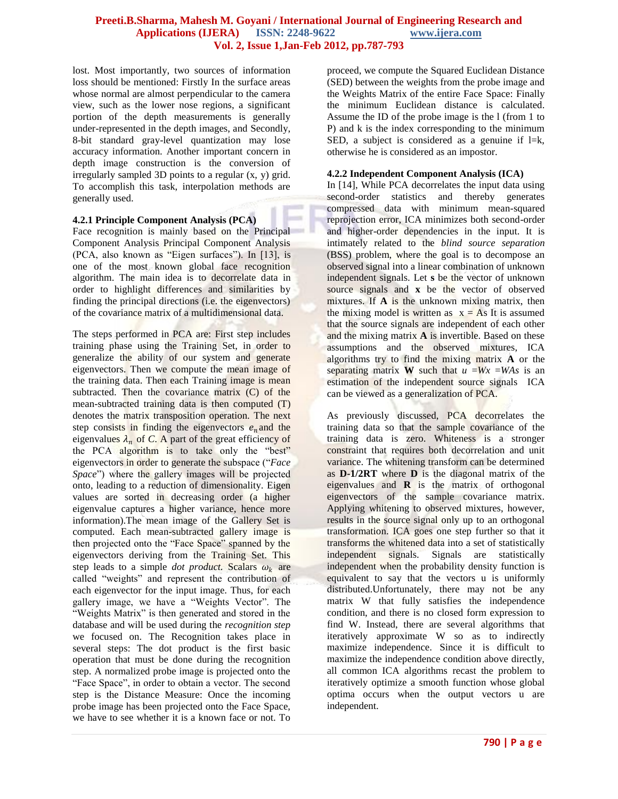lost. Most importantly, two sources of information loss should be mentioned: Firstly In the surface areas whose normal are almost perpendicular to the camera view, such as the lower nose regions, a significant portion of the depth measurements is generally under-represented in the depth images, and Secondly, 8-bit standard gray-level quantization may lose accuracy information. Another important concern in depth image construction is the conversion of irregularly sampled 3D points to a regular (x, y) grid. To accomplish this task, interpolation methods are generally used.

# **4.2.1 Principle Component Analysis (PCA)**

Face recognition is mainly based on the Principal Component Analysis Principal Component Analysis (PCA, also known as "Eigen surfaces"). In [13], is one of the most known global face recognition algorithm. The main idea is to decorrelate data in order to highlight differences and similarities by finding the principal directions (i.e. the eigenvectors) of the covariance matrix of a multidimensional data.

The steps performed in PCA are: First step includes training phase using the Training Set, in order to generalize the ability of our system and generate eigenvectors. Then we compute the mean image of the training data. Then each Training image is mean subtracted. Then the covariance matrix (C) of the mean-subtracted training data is then computed (T) denotes the matrix transposition operation. The next step consists in finding the eigenvectors  $e_n$  and the eigenvalues  $\lambda_n$  of C. A part of the great efficiency of the PCA algorithm is to take only the "best" eigenvectors in order to generate the subspace ("*Face Space*") where the gallery images will be projected onto, leading to a reduction of dimensionality. Eigen values are sorted in decreasing order (a higher eigenvalue captures a higher variance, hence more information).The mean image of the Gallery Set is computed. Each mean-subtracted gallery image is then projected onto the "Face Space" spanned by the eigenvectors deriving from the Training Set. This step leads to a simple *dot product*. Scalars  $\omega_k$  are called "weights" and represent the contribution of each eigenvector for the input image. Thus, for each gallery image, we have a "Weights Vector". The "Weights Matrix" is then generated and stored in the database and will be used during the *recognition step*  we focused on. The Recognition takes place in several steps: The dot product is the first basic operation that must be done during the recognition step. A normalized probe image is projected onto the "Face Space", in order to obtain a vector. The second step is the Distance Measure: Once the incoming probe image has been projected onto the Face Space, we have to see whether it is a known face or not. To

proceed, we compute the Squared Euclidean Distance (SED) between the weights from the probe image and the Weights Matrix of the entire Face Space: Finally the minimum Euclidean distance is calculated. Assume the ID of the probe image is the l (from 1 to P) and k is the index corresponding to the minimum SED, a subject is considered as a genuine if  $l=k$ , otherwise he is considered as an impostor.

# **4.2.2 Independent Component Analysis (ICA)**

In [14], While PCA decorrelates the input data using second-order statistics and thereby generates compressed data with minimum mean-squared reprojection error, ICA minimizes both second-order and higher-order dependencies in the input. It is intimately related to the *blind source separation*  (BSS) problem, where the goal is to decompose an observed signal into a linear combination of unknown independent signals. Let **s** be the vector of unknown source signals and **x** be the vector of observed mixtures. If **A** is the unknown mixing matrix, then the mixing model is written as  $x = As$  It is assumed that the source signals are independent of each other and the mixing matrix **A** is invertible. Based on these assumptions and the observed mixtures, ICA algorithms try to find the mixing matrix **A** or the separating matrix **W** such that  $u = Wx = WAs$  is an estimation of the independent source signals ICA can be viewed as a generalization of PCA.

As previously discussed, PCA decorrelates the training data so that the sample covariance of the training data is zero. Whiteness is a stronger constraint that requires both decorrelation and unit variance. The whitening transform can be determined as **D-1/2RT** where **D** is the diagonal matrix of the eigenvalues and **R** is the matrix of orthogonal eigenvectors of the sample covariance matrix. Applying whitening to observed mixtures, however, results in the source signal only up to an orthogonal transformation. ICA goes one step further so that it transforms the whitened data into a set of statistically independent signals. Signals are statistically independent when the probability density function is equivalent to say that the vectors u is uniformly distributed.Unfortunately, there may not be any matrix W that fully satisfies the independence condition, and there is no closed form expression to find W. Instead, there are several algorithms that iteratively approximate W so as to indirectly maximize independence. Since it is difficult to maximize the independence condition above directly, all common ICA algorithms recast the problem to iteratively optimize a smooth function whose global optima occurs when the output vectors u are independent.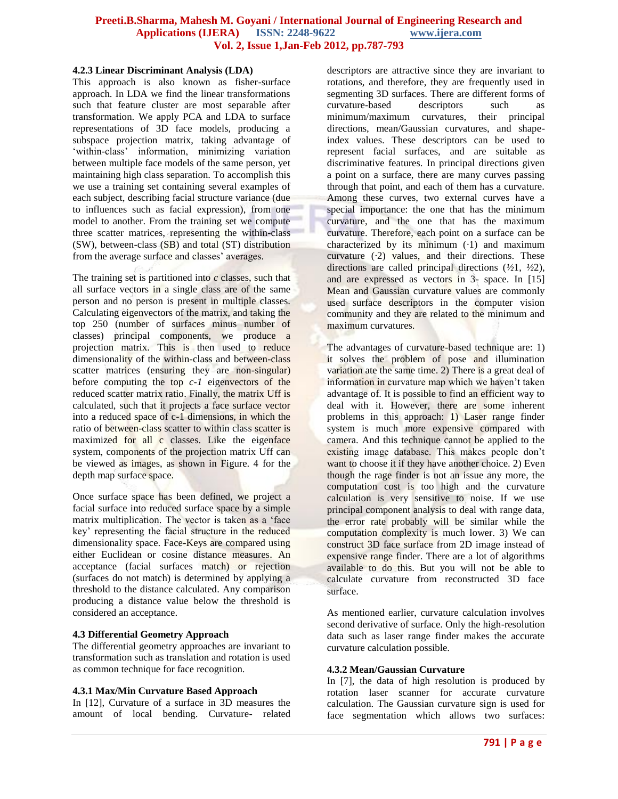#### **4.2.3 Linear Discriminant Analysis (LDA)**

This approach is also known as fisher-surface approach. In LDA we find the linear transformations such that feature cluster are most separable after transformation. We apply PCA and LDA to surface representations of 3D face models, producing a subspace projection matrix, taking advantage of "within-class" information, minimizing variation between multiple face models of the same person, yet maintaining high class separation. To accomplish this we use a training set containing several examples of each subject, describing facial structure variance (due to influences such as facial expression), from one model to another. From the training set we compute three scatter matrices, representing the within-class (SW), between-class (SB) and total (ST) distribution from the average surface and classes' averages.

The training set is partitioned into *c* classes, such that all surface vectors in a single class are of the same person and no person is present in multiple classes. Calculating eigenvectors of the matrix, and taking the top 250 (number of surfaces minus number of classes) principal components, we produce a projection matrix. This is then used to reduce dimensionality of the within-class and between-class scatter matrices (ensuring they are non-singular) before computing the top *c-1* eigenvectors of the reduced scatter matrix ratio. Finally, the matrix Uff is calculated, such that it projects a face surface vector into a reduced space of c-1 dimensions, in which the ratio of between-class scatter to within class scatter is maximized for all c classes. Like the eigenface system, components of the projection matrix Uff can be viewed as images, as shown in Figure. 4 for the depth map surface space.

Once surface space has been defined, we project a facial surface into reduced surface space by a simple matrix multiplication. The vector is taken as a "face key" representing the facial structure in the reduced dimensionality space. Face-Keys are compared using either Euclidean or cosine distance measures. An acceptance (facial surfaces match) or rejection (surfaces do not match) is determined by applying a threshold to the distance calculated. Any comparison producing a distance value below the threshold is considered an acceptance.

# **4.3 Differential Geometry Approach**

The differential geometry approaches are invariant to transformation such as translation and rotation is used as common technique for face recognition.

# **4.3.1 Max/Min Curvature Based Approach**

In [12], Curvature of a surface in 3D measures the amount of local bending. Curvature- related descriptors are attractive since they are invariant to rotations, and therefore, they are frequently used in segmenting 3D surfaces. There are different forms of curvature-based descriptors such as minimum/maximum curvatures, their principal directions, mean/Gaussian curvatures, and shapeindex values. These descriptors can be used to represent facial surfaces, and are suitable as discriminative features. In principal directions given a point on a surface, there are many curves passing through that point, and each of them has a curvature. Among these curves, two external curves have a special importance: the one that has the minimum curvature, and the one that has the maximum curvature. Therefore, each point on a surface can be characterized by its minimum (*·*1) and maximum curvature (*·*2) values, and their directions. These directions are called principal directions (*½*1, *½*2), and are expressed as vectors in 3- space. In [15] Mean and Gaussian curvature values are commonly used surface descriptors in the computer vision community and they are related to the minimum and maximum curvatures.

The advantages of curvature-based technique are: 1) it solves the problem of pose and illumination variation ate the same time. 2) There is a great deal of information in curvature map which we haven"t taken advantage of. It is possible to find an efficient way to deal with it. However, there are some inherent problems in this approach: 1) Laser range finder system is much more expensive compared with camera. And this technique cannot be applied to the existing image database. This makes people don't want to choose it if they have another choice. 2) Even though the rage finder is not an issue any more, the computation cost is too high and the curvature calculation is very sensitive to noise. If we use principal component analysis to deal with range data, the error rate probably will be similar while the computation complexity is much lower. 3) We can construct 3D face surface from 2D image instead of expensive range finder. There are a lot of algorithms available to do this. But you will not be able to calculate curvature from reconstructed 3D face surface.

As mentioned earlier, curvature calculation involves second derivative of surface. Only the high-resolution data such as laser range finder makes the accurate curvature calculation possible.

#### **4.3.2 Mean/Gaussian Curvature**

In [7], the data of high resolution is produced by rotation laser scanner for accurate curvature calculation. The Gaussian curvature sign is used for face segmentation which allows two surfaces: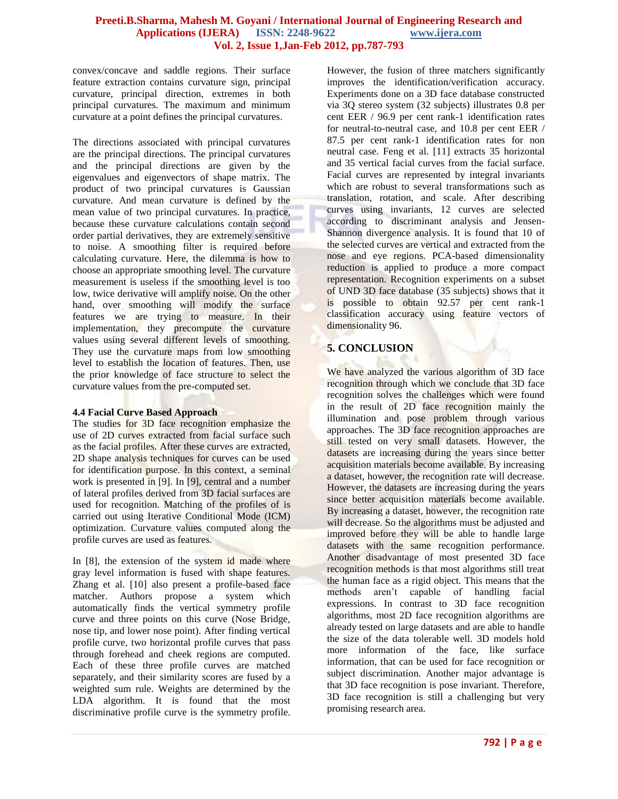convex/concave and saddle regions. Their surface feature extraction contains curvature sign, principal curvature, principal direction, extremes in both principal curvatures. The maximum and minimum curvature at a point defines the principal curvatures.

The directions associated with principal curvatures are the principal directions. The principal curvatures and the principal directions are given by the eigenvalues and eigenvectors of shape matrix. The product of two principal curvatures is Gaussian curvature. And mean curvature is defined by the mean value of two principal curvatures. In practice, because these curvature calculations contain second order partial derivatives, they are extremely sensitive to noise. A smoothing filter is required before calculating curvature. Here, the dilemma is how to choose an appropriate smoothing level. The curvature measurement is useless if the smoothing level is too low, twice derivative will amplify noise. On the other hand, over smoothing will modify the surface features we are trying to measure. In their implementation, they precompute the curvature values using several different levels of smoothing. They use the curvature maps from low smoothing level to establish the location of features. Then, use the prior knowledge of face structure to select the curvature values from the pre-computed set.

# **4.4 Facial Curve Based Approach**

The studies for 3D face recognition emphasize the use of 2D curves extracted from facial surface such as the facial profiles. After these curves are extracted, 2D shape analysis techniques for curves can be used for identification purpose. In this context, a seminal work is presented in [9]. In [9], central and a number of lateral profiles derived from 3D facial surfaces are used for recognition. Matching of the profiles of is carried out using Iterative Conditional Mode (ICM) optimization. Curvature values computed along the profile curves are used as features.

In [8], the extension of the system id made where gray level information is fused with shape features. Zhang et al. [10] also present a profile-based face matcher. Authors propose a system which automatically finds the vertical symmetry profile curve and three points on this curve (Nose Bridge, nose tip, and lower nose point). After finding vertical profile curve, two horizontal profile curves that pass through forehead and cheek regions are computed. Each of these three profile curves are matched separately, and their similarity scores are fused by a weighted sum rule. Weights are determined by the LDA algorithm. It is found that the most discriminative profile curve is the symmetry profile.

However, the fusion of three matchers significantly improves the identification/verification accuracy. Experiments done on a 3D face database constructed via 3Q stereo system (32 subjects) illustrates 0.8 per cent EER / 96.9 per cent rank-1 identification rates for neutral-to-neutral case, and 10.8 per cent EER / 87.5 per cent rank-1 identification rates for non neutral case. Feng et al. [11] extracts 35 horizontal and 35 vertical facial curves from the facial surface. Facial curves are represented by integral invariants which are robust to several transformations such as translation, rotation, and scale. After describing curves using invariants, 12 curves are selected according to discriminant analysis and Jensen-Shannon divergence analysis. It is found that 10 of the selected curves are vertical and extracted from the nose and eye regions. PCA-based dimensionality reduction is applied to produce a more compact representation. Recognition experiments on a subset of UND 3D face database (35 subjects) shows that it is possible to obtain 92.57 per cent rank-1 classification accuracy using feature vectors of dimensionality 96.

# **5. CONCLUSION**

We have analyzed the various algorithm of 3D face recognition through which we conclude that 3D face recognition solves the challenges which were found in the result of 2D face recognition mainly the illumination and pose problem through various approaches. The 3D face recognition approaches are still tested on very small datasets. However, the datasets are increasing during the years since better acquisition materials become available. By increasing a dataset, however, the recognition rate will decrease. However, the datasets are increasing during the years since better acquisition materials become available. By increasing a dataset, however, the recognition rate will decrease. So the algorithms must be adjusted and improved before they will be able to handle large datasets with the same recognition performance. Another disadvantage of most presented 3D face recognition methods is that most algorithms still treat the human face as a rigid object. This means that the methods aren"t capable of handling facial expressions. In contrast to 3D face recognition algorithms, most 2D face recognition algorithms are already tested on large datasets and are able to handle the size of the data tolerable well. 3D models hold more information of the face, like surface information, that can be used for face recognition or subject discrimination. Another major advantage is that 3D face recognition is pose invariant. Therefore, 3D face recognition is still a challenging but very promising research area.